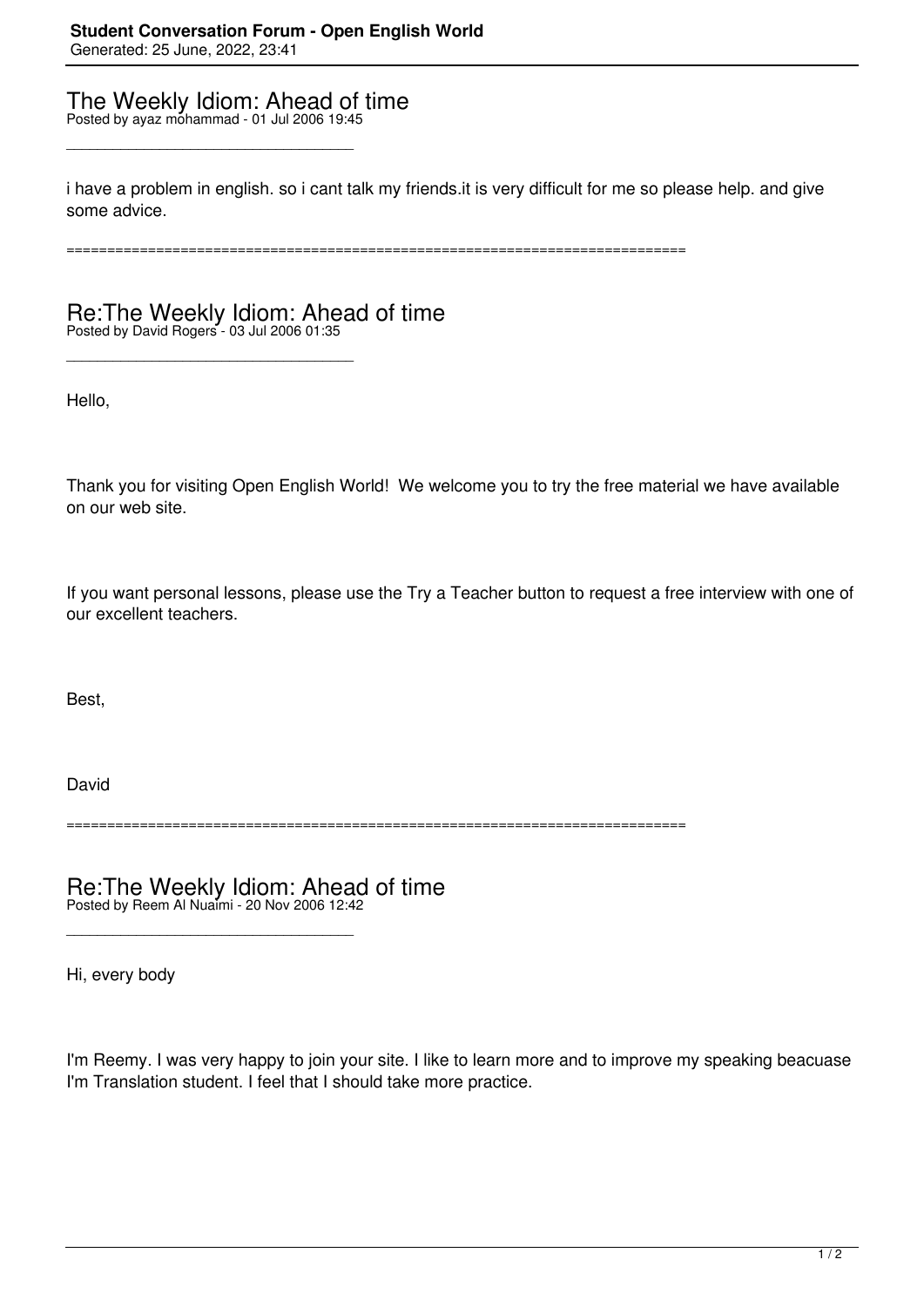## The Weekly Idiom: Ahead of time Posted by ayaz mohammad - 01 Jul 2006 19:45

\_\_\_\_\_\_\_\_\_\_\_\_\_\_\_\_\_\_\_\_\_\_\_\_\_\_\_\_\_\_\_\_\_\_\_\_\_

\_\_\_\_\_\_\_\_\_\_\_\_\_\_\_\_\_\_\_\_\_\_\_\_\_\_\_\_\_\_\_\_\_\_\_\_\_

i have a problem in english. so i cant talk my friends.it is very difficult for me so please help. and give some advice.

============================================================================

## Re:The Weekly Idiom: Ahead of time Posted by David Rogers - 03 Jul 2006 01:35

Hello,

Thank you for visiting Open English World! We welcome you to try the free material we have available on our web site.

If you want personal lessons, please use the Try a Teacher button to request a free interview with one of our excellent teachers.

Best,

David

============================================================================

Re:The Weekly Idiom: Ahead of time Posted by Reem Al Nuaimi - 20 Nov 2006 12:42

\_\_\_\_\_\_\_\_\_\_\_\_\_\_\_\_\_\_\_\_\_\_\_\_\_\_\_\_\_\_\_\_\_\_\_\_\_

Hi, every body

I'm Reemy. I was very happy to join your site. I like to learn more and to improve my speaking beacuase I'm Translation student. I feel that I should take more practice.